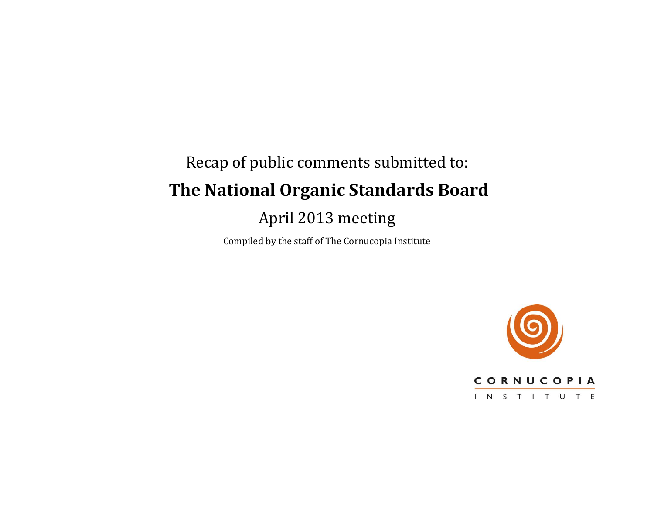# Recap of public comments submitted to: **The National Organic Standards Board** April 2013 meeting

Compiled by the staff of The Cornucopia Institute

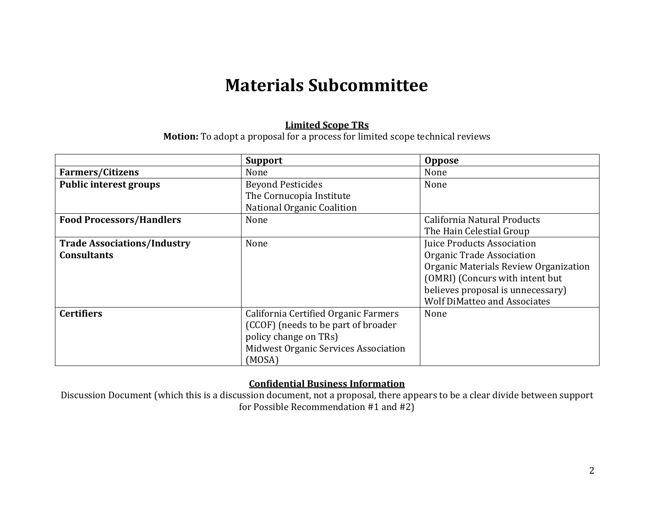# **Materials Subcommittee**

#### **Limited Scope TRs**

**Motion:** To adopt a proposal for a process for limited scope technical reviews

|                                    | <b>Support</b>                       | <b>Oppose</b>                         |
|------------------------------------|--------------------------------------|---------------------------------------|
| <b>Farmers/Citizens</b>            | None                                 | None                                  |
| <b>Public interest groups</b>      | <b>Beyond Pesticides</b>             | None                                  |
|                                    | The Cornucopia Institute             |                                       |
|                                    | National Organic Coalition           |                                       |
| <b>Food Processors/Handlers</b>    | None                                 | California Natural Products           |
|                                    |                                      | The Hain Celestial Group              |
| <b>Trade Associations/Industry</b> | None                                 | <b>Juice Products Association</b>     |
| <b>Consultants</b>                 |                                      | Organic Trade Association             |
|                                    |                                      | Organic Materials Review Organization |
|                                    |                                      | (OMRI) (Concurs with intent but       |
|                                    |                                      | believes proposal is unnecessary)     |
|                                    |                                      | <b>Wolf DiMatteo and Associates</b>   |
| <b>Certifiers</b>                  | California Certified Organic Farmers | None                                  |
|                                    | (CCOF) (needs to be part of broader  |                                       |
|                                    | policy change on TRs)                |                                       |
|                                    | Midwest Organic Services Association |                                       |
|                                    | (MOSA)                               |                                       |

### **Confidential Business Information**

Discussion Document (which this is a discussion document, not a proposal, there appears to be a clear divide between support for Possible Recommendation #1 and #2)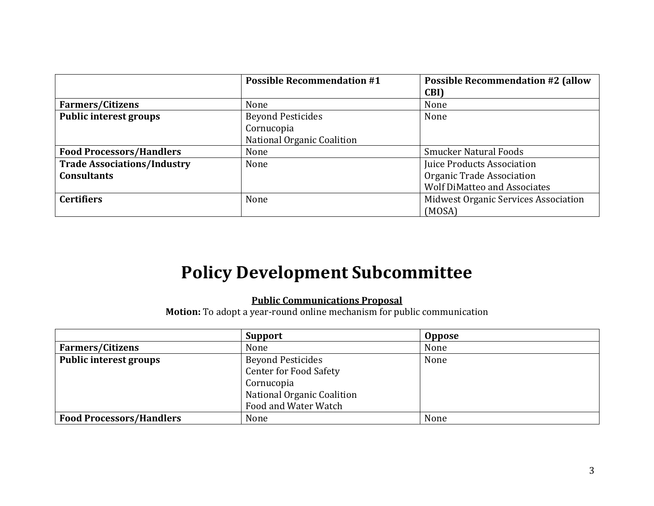|                                    | <b>Possible Recommendation #1</b> | <b>Possible Recommendation #2 (allow</b> |
|------------------------------------|-----------------------------------|------------------------------------------|
|                                    |                                   | CBI)                                     |
| <b>Farmers/Citizens</b>            | None                              | None                                     |
| <b>Public interest groups</b>      | <b>Beyond Pesticides</b>          | None                                     |
|                                    | Cornucopia                        |                                          |
|                                    | National Organic Coalition        |                                          |
| <b>Food Processors/Handlers</b>    | None                              | <b>Smucker Natural Foods</b>             |
| <b>Trade Associations/Industry</b> | None                              | Juice Products Association               |
| <b>Consultants</b>                 |                                   | Organic Trade Association                |
|                                    |                                   | <b>Wolf DiMatteo and Associates</b>      |
| <b>Certifiers</b>                  | None                              | Midwest Organic Services Association     |
|                                    |                                   | (MOSA)                                   |

# **Policy Development Subcommittee**

## **Public Communications Proposal**

**Motion:** To adopt a year-round online mechanism for public communication

|                                 | <b>Support</b>                | <b>Oppose</b> |
|---------------------------------|-------------------------------|---------------|
| <b>Farmers/Citizens</b>         | None                          | None          |
| Public interest groups          | <b>Beyond Pesticides</b>      | None          |
|                                 | <b>Center for Food Safety</b> |               |
|                                 | Cornucopia                    |               |
|                                 | National Organic Coalition    |               |
|                                 | Food and Water Watch          |               |
| <b>Food Processors/Handlers</b> | None                          | None          |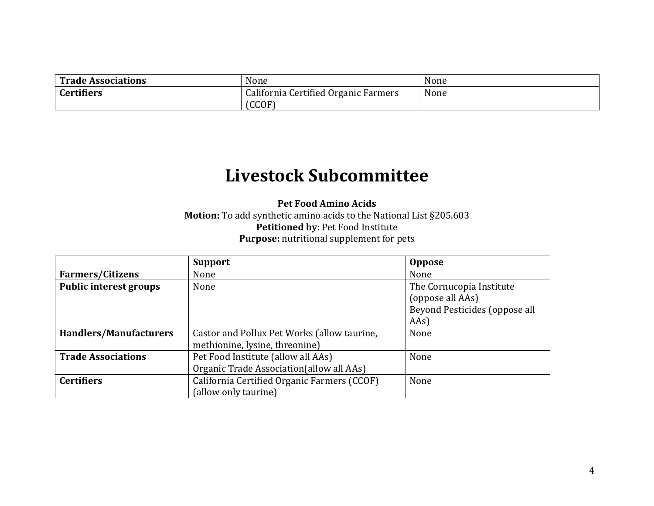| Trade Associations | None                                 | None |
|--------------------|--------------------------------------|------|
| <b>Certifiers</b>  | California Certified Organic Farmers | None |
|                    | (CCOF)                               |      |

# **Livestock Subcommittee**

**Pet Food Amino Acids Motion:** To add synthetic amino acids to the National List §205.603 **Petitioned by:** Pet Food Institute **Purpose:** nutritional supplement for pets

|                               | <b>Support</b>                              | <b>Oppose</b>                 |
|-------------------------------|---------------------------------------------|-------------------------------|
| <b>Farmers/Citizens</b>       | None                                        | None                          |
| <b>Public interest groups</b> | None                                        | The Cornucopia Institute      |
|                               |                                             | (oppose all AAs)              |
|                               |                                             | Beyond Pesticides (oppose all |
|                               |                                             | [ <b>AAS</b> ]                |
| Handlers/Manufacturers        | Castor and Pollux Pet Works (allow taurine, | None                          |
|                               | methionine, lysine, threonine)              |                               |
| <b>Trade Associations</b>     | Pet Food Institute (allow all AAs)          | None                          |
|                               | Organic Trade Association(allow all AAs)    |                               |
| <b>Certifiers</b>             | California Certified Organic Farmers (CCOF) | None                          |
|                               | (allow only taurine)                        |                               |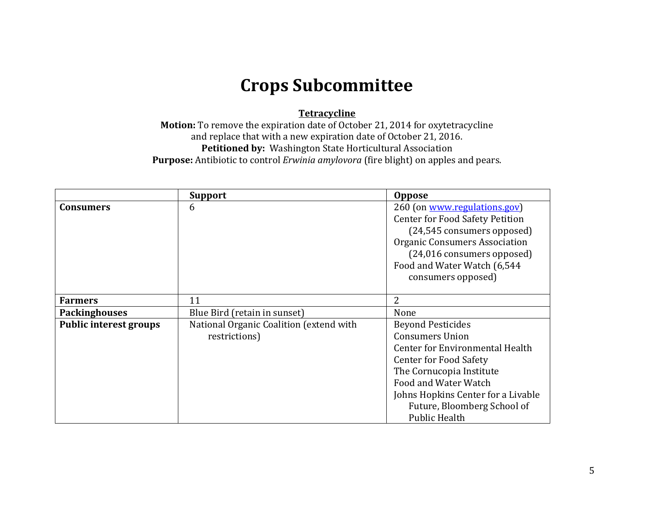# **Crops Subcommittee**

### **Tetracycline**

**Motion:** To remove the expiration date of October 21, 2014 for oxytetracycline and replace that with a new expiration date of October 21, 2016. **Petitioned by:** Washington State Horticultural Association **Purpose:** Antibiotic to control *Erwinia amylovora* (fire blight) on apples and pears.

|                               | <b>Support</b>                          | <b>Oppose</b>                          |
|-------------------------------|-----------------------------------------|----------------------------------------|
| <b>Consumers</b>              | 6                                       | 260 (on www.regulations.gov)           |
|                               |                                         | <b>Center for Food Safety Petition</b> |
|                               |                                         | (24,545 consumers opposed)             |
|                               |                                         | <b>Organic Consumers Association</b>   |
|                               |                                         | (24,016 consumers opposed)             |
|                               |                                         | Food and Water Watch (6,544            |
|                               |                                         | consumers opposed)                     |
|                               |                                         |                                        |
| <b>Farmers</b>                | 11                                      | $\overline{2}$                         |
| <b>Packinghouses</b>          | Blue Bird (retain in sunset)            | None                                   |
| <b>Public interest groups</b> | National Organic Coalition (extend with | <b>Beyond Pesticides</b>               |
|                               | restrictions)                           | <b>Consumers Union</b>                 |
|                               |                                         | Center for Environmental Health        |
|                               |                                         | <b>Center for Food Safety</b>          |
|                               |                                         | The Cornucopia Institute               |
|                               |                                         | Food and Water Watch                   |
|                               |                                         | Johns Hopkins Center for a Livable     |
|                               |                                         | Future, Bloomberg School of            |
|                               |                                         | <b>Public Health</b>                   |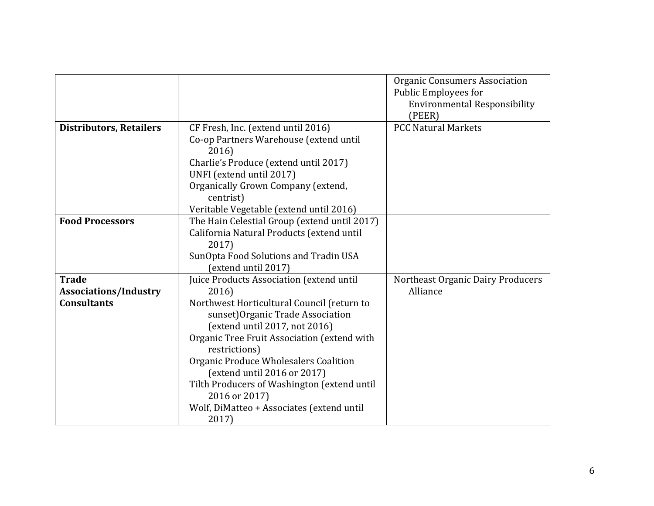|                                |                                              | <b>Organic Consumers Association</b> |
|--------------------------------|----------------------------------------------|--------------------------------------|
|                                |                                              | Public Employees for                 |
|                                |                                              | <b>Environmental Responsibility</b>  |
|                                |                                              | (PEER)                               |
| <b>Distributors, Retailers</b> | CF Fresh, Inc. (extend until 2016)           | <b>PCC Natural Markets</b>           |
|                                | Co-op Partners Warehouse (extend until       |                                      |
|                                | 2016)                                        |                                      |
|                                | Charlie's Produce (extend until 2017)        |                                      |
|                                | UNFI (extend until 2017)                     |                                      |
|                                | Organically Grown Company (extend,           |                                      |
|                                | centrist)                                    |                                      |
|                                | Veritable Vegetable (extend until 2016)      |                                      |
| <b>Food Processors</b>         | The Hain Celestial Group (extend until 2017) |                                      |
|                                | California Natural Products (extend until    |                                      |
|                                | 2017)                                        |                                      |
|                                | SunOpta Food Solutions and Tradin USA        |                                      |
|                                | (extend until 2017)                          |                                      |
| <b>Trade</b>                   | Juice Products Association (extend until     | Northeast Organic Dairy Producers    |
| <b>Associations/Industry</b>   | 2016)                                        | Alliance                             |
| <b>Consultants</b>             | Northwest Horticultural Council (return to   |                                      |
|                                | sunset) Organic Trade Association            |                                      |
|                                | (extend until 2017, not 2016)                |                                      |
|                                | Organic Tree Fruit Association (extend with  |                                      |
|                                | restrictions)                                |                                      |
|                                | Organic Produce Wholesalers Coalition        |                                      |
|                                | (extend until 2016 or 2017)                  |                                      |
|                                | Tilth Producers of Washington (extend until  |                                      |
|                                | 2016 or 2017)                                |                                      |
|                                | Wolf, DiMatteo + Associates (extend until    |                                      |
|                                | 2017)                                        |                                      |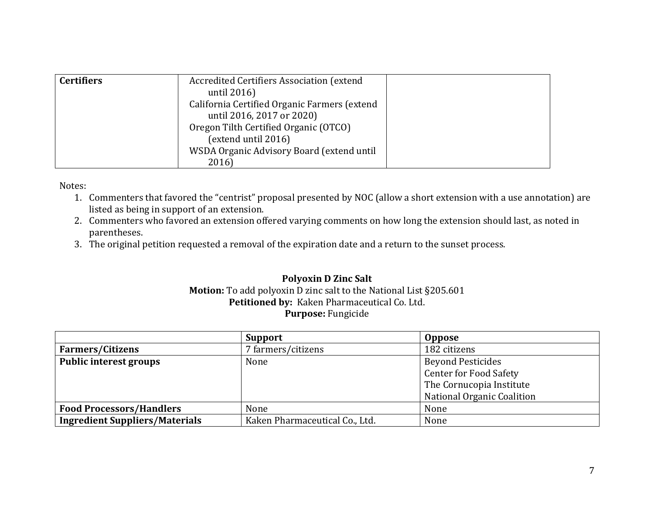| <b>Certifiers</b> | Accredited Certifiers Association (extend<br>until 2016)<br>California Certified Organic Farmers (extend<br>until 2016, 2017 or 2020) |  |
|-------------------|---------------------------------------------------------------------------------------------------------------------------------------|--|
|                   | Oregon Tilth Certified Organic (OTCO)<br>(extend until 2016)                                                                          |  |
|                   | WSDA Organic Advisory Board (extend until<br>2016)                                                                                    |  |

Notes:

- 1. Commenters that favored the "centrist" proposal presented by NOC (allow a short extension with a use annotation) are listed as being in support of an extension.
- 2. Commenters who favored an extension offered varying comments on how long the extension should last, as noted in parentheses.
- 3. The original petition requested a removal of the expiration date and a return to the sunset process.

### **Polyoxin D Zinc Salt Motion:** To add polyoxin D zinc salt to the National List §205.601 **Petitioned by:** Kaken Pharmaceutical Co. Ltd. **Purpose:** Fungicide

|                                       | <b>Support</b>                 | <b>Oppose</b>                     |
|---------------------------------------|--------------------------------|-----------------------------------|
| <b>Farmers/Citizens</b>               | ' farmers/citizens             | 182 citizens                      |
| <b>Public interest groups</b>         | None                           | <b>Beyond Pesticides</b>          |
|                                       |                                | <b>Center for Food Safety</b>     |
|                                       |                                | The Cornucopia Institute          |
|                                       |                                | <b>National Organic Coalition</b> |
| <b>Food Processors/Handlers</b>       | None                           | None                              |
| <b>Ingredient Suppliers/Materials</b> | Kaken Pharmaceutical Co., Ltd. | None                              |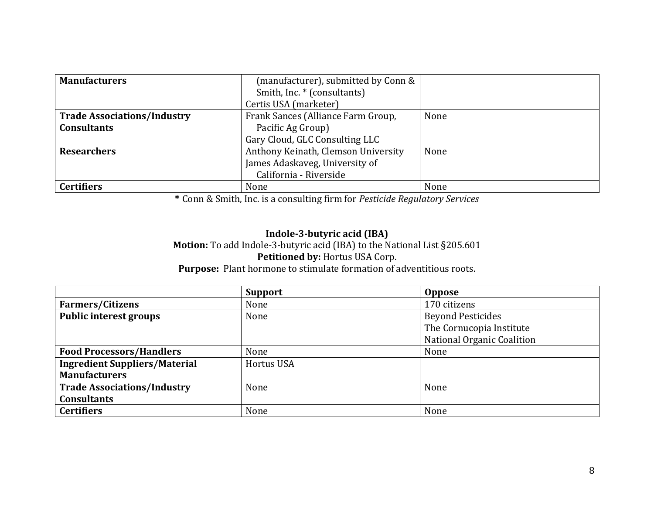| <b>Manufacturers</b>               | (manufacturer), submitted by Conn & |      |
|------------------------------------|-------------------------------------|------|
|                                    | Smith, Inc. * (consultants)         |      |
|                                    | Certis USA (marketer)               |      |
| <b>Trade Associations/Industry</b> | Frank Sances (Alliance Farm Group,  | None |
| <b>Consultants</b>                 | Pacific Ag Group)                   |      |
|                                    | Gary Cloud, GLC Consulting LLC      |      |
| <b>Researchers</b>                 | Anthony Keinath, Clemson University | None |
|                                    | James Adaskaveg, University of      |      |
|                                    | California - Riverside              |      |
| <b>Certifiers</b>                  | None                                | None |

**\*** Conn & Smith, Inc. is a consulting firm for *Pesticide Regulatory Services*

### **Indole-3-butyric acid (IBA) Motion:** To add Indole-3-butyric acid (IBA) to the National List §205.601 **Petitioned by:** Hortus USA Corp. **Purpose:** Plant hormone to stimulate formation of adventitious roots.

|                                      | <b>Support</b>    | <b>Oppose</b>                     |
|--------------------------------------|-------------------|-----------------------------------|
| <b>Farmers/Citizens</b>              | None              | 170 citizens                      |
| <b>Public interest groups</b>        | None              | <b>Beyond Pesticides</b>          |
|                                      |                   | The Cornucopia Institute          |
|                                      |                   | <b>National Organic Coalition</b> |
| <b>Food Processors/Handlers</b>      | None              | None                              |
| <b>Ingredient Suppliers/Material</b> | <b>Hortus USA</b> |                                   |
| <b>Manufacturers</b>                 |                   |                                   |
| <b>Trade Associations/Industry</b>   | None              | None                              |
| <b>Consultants</b>                   |                   |                                   |
| <b>Certifiers</b>                    | None              | None                              |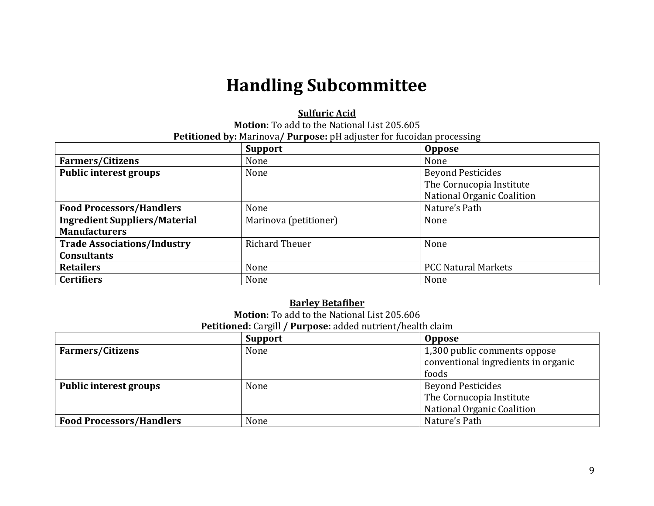# **Handling Subcommittee**

#### **Sulfuric Acid**

**Motion:** To add to the National List 205.605 **Petitioned by:** Marinova**/ Purpose:** pH adjuster for fucoidan processing

|                                      | <b>Support</b>        | <b>Oppose</b>                     |
|--------------------------------------|-----------------------|-----------------------------------|
| <b>Farmers/Citizens</b>              | None                  | None                              |
| <b>Public interest groups</b>        | None                  | <b>Beyond Pesticides</b>          |
|                                      |                       | The Cornucopia Institute          |
|                                      |                       | <b>National Organic Coalition</b> |
| <b>Food Processors/Handlers</b>      | None                  | Nature's Path                     |
| <b>Ingredient Suppliers/Material</b> | Marinova (petitioner) | None                              |
| <b>Manufacturers</b>                 |                       |                                   |
| <b>Trade Associations/Industry</b>   | <b>Richard Theuer</b> | None                              |
| <b>Consultants</b>                   |                       |                                   |
| <b>Retailers</b>                     | None                  | <b>PCC Natural Markets</b>        |
| <b>Certifiers</b>                    | None                  | None                              |

#### **Barley Betafiber**

**Motion:** To add to the National List 205.606

**Petitioned:** Cargill **/ Purpose:** added nutrient/health claim

|                                 | <b>Support</b> | <b>Oppose</b>                                                                |
|---------------------------------|----------------|------------------------------------------------------------------------------|
| <b>Farmers/Citizens</b>         | None           | 1,300 public comments oppose<br>conventional ingredients in organic<br>foods |
|                                 |                |                                                                              |
| Public interest groups          | None           | <b>Beyond Pesticides</b>                                                     |
|                                 |                | The Cornucopia Institute                                                     |
|                                 |                | National Organic Coalition                                                   |
| <b>Food Processors/Handlers</b> | None           | Nature's Path                                                                |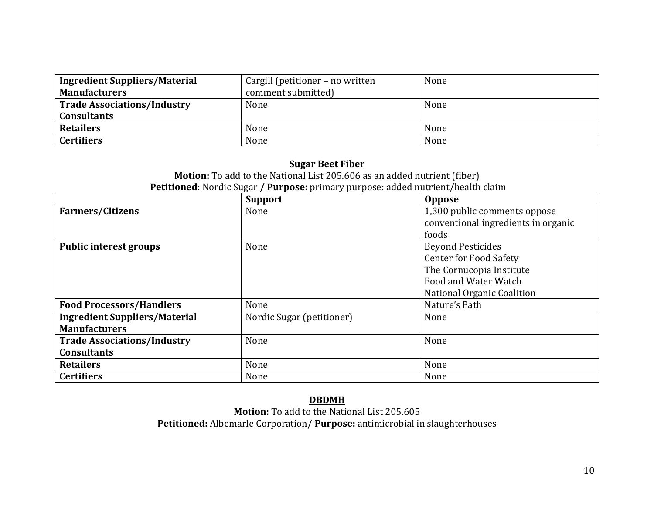| Ingredient Suppliers/Material<br><b>Manufacturers</b> | Cargill (petitioner – no written<br>comment submitted) | None |
|-------------------------------------------------------|--------------------------------------------------------|------|
| Trade Associations/Industry                           | None                                                   | None |
| <b>Consultants</b>                                    |                                                        |      |
| <b>Retailers</b>                                      | None                                                   | None |
| <b>Certifiers</b>                                     | None                                                   | None |

### **Sugar Beet Fiber**

**Motion:** To add to the National List 205.606 as an added nutrient (fiber) **Petitioned**: Nordic Sugar **/ Purpose:** primary purpose: added nutrient/health claim

|                                      | <b>Support</b>            | Oppose                              |
|--------------------------------------|---------------------------|-------------------------------------|
| <b>Farmers/Citizens</b>              | None                      | 1,300 public comments oppose        |
|                                      |                           | conventional ingredients in organic |
|                                      |                           | foods                               |
| <b>Public interest groups</b>        | None                      | <b>Beyond Pesticides</b>            |
|                                      |                           | <b>Center for Food Safety</b>       |
|                                      |                           | The Cornucopia Institute            |
|                                      |                           | Food and Water Watch                |
|                                      |                           | National Organic Coalition          |
| <b>Food Processors/Handlers</b>      | None                      | Nature's Path                       |
| <b>Ingredient Suppliers/Material</b> | Nordic Sugar (petitioner) | None                                |
| <b>Manufacturers</b>                 |                           |                                     |
| <b>Trade Associations/Industry</b>   | None                      | None                                |
| <b>Consultants</b>                   |                           |                                     |
| <b>Retailers</b>                     | None                      | None                                |
| <b>Certifiers</b>                    | None                      | None                                |

### **DBDMH**

**Motion:** To add to the National List 205.605 **Petitioned:** Albemarle Corporation/ **Purpose:** antimicrobial in slaughterhouses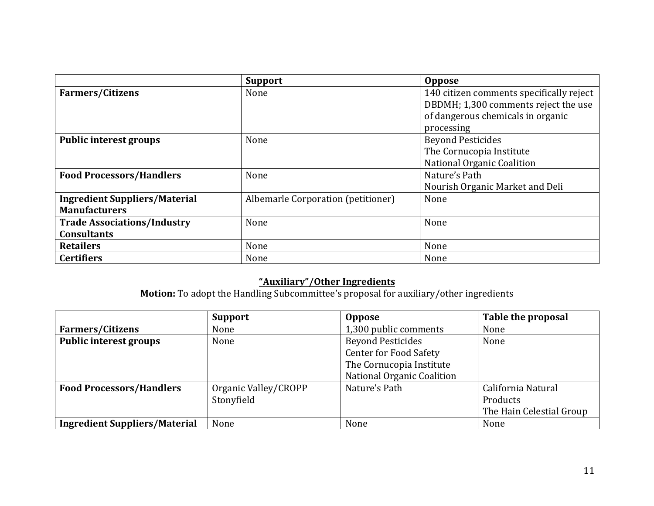|                                      | <b>Support</b>                     | <b>Oppose</b>                            |
|--------------------------------------|------------------------------------|------------------------------------------|
| <b>Farmers/Citizens</b>              | None                               | 140 citizen comments specifically reject |
|                                      |                                    | DBDMH; 1,300 comments reject the use     |
|                                      |                                    | of dangerous chemicals in organic        |
|                                      |                                    | processing                               |
| <b>Public interest groups</b>        | None                               | <b>Beyond Pesticides</b>                 |
|                                      |                                    | The Cornucopia Institute                 |
|                                      |                                    | <b>National Organic Coalition</b>        |
| <b>Food Processors/Handlers</b>      | None                               | Nature's Path                            |
|                                      |                                    | Nourish Organic Market and Deli          |
| <b>Ingredient Suppliers/Material</b> | Albemarle Corporation (petitioner) | None                                     |
| <b>Manufacturers</b>                 |                                    |                                          |
| <b>Trade Associations/Industry</b>   | None                               | None                                     |
| <b>Consultants</b>                   |                                    |                                          |
| <b>Retailers</b>                     | None                               | None                                     |
| <b>Certifiers</b>                    | None                               | None                                     |

### **"Auxiliary"/Other Ingredients**

**Motion:** To adopt the Handling Subcommittee's proposal for auxiliary/other ingredients

|                                      | <b>Support</b>       | <b>Oppose</b>                 | Table the proposal       |
|--------------------------------------|----------------------|-------------------------------|--------------------------|
| <b>Farmers/Citizens</b>              | None                 | 1,300 public comments         | None                     |
| <b>Public interest groups</b>        | None                 | <b>Beyond Pesticides</b>      | None                     |
|                                      |                      | <b>Center for Food Safety</b> |                          |
|                                      |                      | The Cornucopia Institute      |                          |
|                                      |                      | National Organic Coalition    |                          |
| <b>Food Processors/Handlers</b>      | Organic Valley/CROPP | Nature's Path                 | California Natural       |
|                                      | Stonyfield           |                               | Products                 |
|                                      |                      |                               | The Hain Celestial Group |
| <b>Ingredient Suppliers/Material</b> | None                 | None                          | None                     |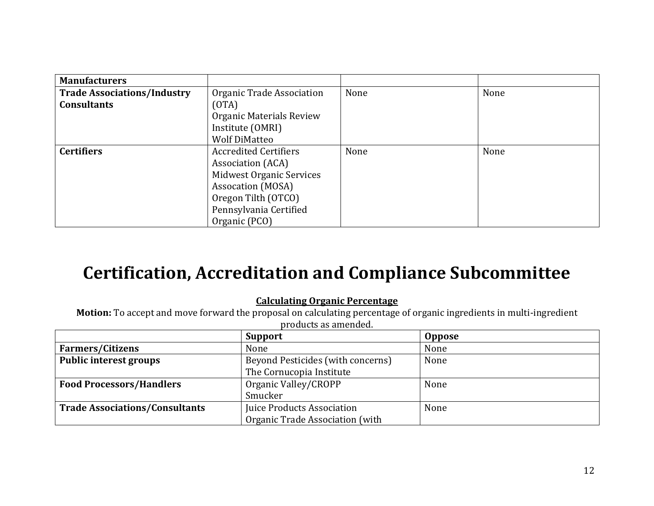| <b>Manufacturers</b>               |                              |      |      |
|------------------------------------|------------------------------|------|------|
| <b>Trade Associations/Industry</b> | Organic Trade Association    | None | None |
| <b>Consultants</b>                 | (OTA)                        |      |      |
|                                    | Organic Materials Review     |      |      |
|                                    | Institute (OMRI)             |      |      |
|                                    | <b>Wolf DiMatteo</b>         |      |      |
| <b>Certifiers</b>                  | <b>Accredited Certifiers</b> | None | None |
|                                    | Association (ACA)            |      |      |
|                                    | Midwest Organic Services     |      |      |
|                                    | Assocation (MOSA)            |      |      |
|                                    | Oregon Tilth (OTCO)          |      |      |
|                                    | Pennsylvania Certified       |      |      |
|                                    | Organic (PCO)                |      |      |

# **Certification, Accreditation and Compliance Subcommittee**

### **Calculating Organic Percentage**

**Motion:** To accept and move forward the proposal on calculating percentage of organic ingredients in multi-ingredient products as amended.

|                                       | <b>Support</b>                    | <b>Oppose</b> |
|---------------------------------------|-----------------------------------|---------------|
| <b>Farmers/Citizens</b>               | None                              | None          |
| <b>Public interest groups</b>         | Beyond Pesticides (with concerns) | None          |
|                                       | The Cornucopia Institute          |               |
| <b>Food Processors/Handlers</b>       | Organic Valley/CROPP              | None          |
|                                       | Smucker                           |               |
| <b>Trade Associations/Consultants</b> | Juice Products Association        | None          |
|                                       | Organic Trade Association (with   |               |